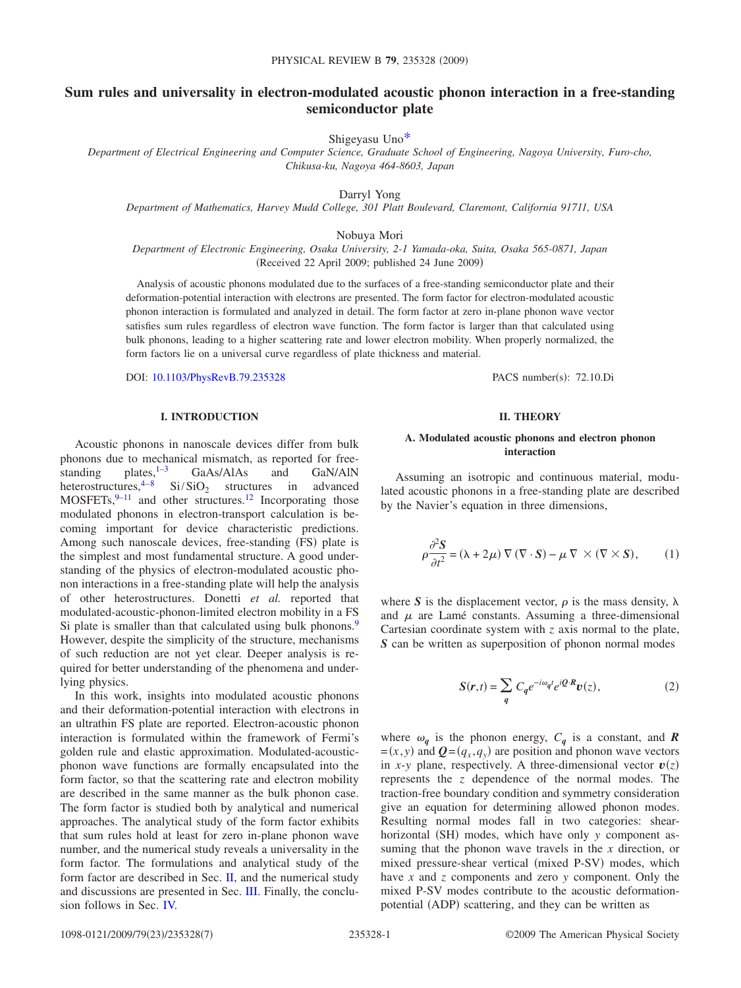# **Sum rules and universality in electron-modulated acoustic phonon interaction in a free-standing semiconductor plate**

Shigeyasu Un[o\\*](#page-6-0)

*Department of Electrical Engineering and Computer Science, Graduate School of Engineering, Nagoya University, Furo-cho, Chikusa-ku, Nagoya 464-8603, Japan*

Darryl Yong

*Department of Mathematics, Harvey Mudd College, 301 Platt Boulevard, Claremont, California 91711, USA*

Nobuya Mori

*Department of Electronic Engineering, Osaka University, 2-1 Yamada-oka, Suita, Osaka 565-0871, Japan* (Received 22 April 2009; published 24 June 2009)

Analysis of acoustic phonons modulated due to the surfaces of a free-standing semiconductor plate and their deformation-potential interaction with electrons are presented. The form factor for electron-modulated acoustic phonon interaction is formulated and analyzed in detail. The form factor at zero in-plane phonon wave vector satisfies sum rules regardless of electron wave function. The form factor is larger than that calculated using bulk phonons, leading to a higher scattering rate and lower electron mobility. When properly normalized, the form factors lie on a universal curve regardless of plate thickness and material.

DOI: [10.1103/PhysRevB.79.235328](http://dx.doi.org/10.1103/PhysRevB.79.235328)

PACS number(s): 72.10.Di

## **I. INTRODUCTION**

Acoustic phonons in nanoscale devices differ from bulk phonons due to mechanical mismatch, as reported for free-<br>standing  $\epsilon$  plates,  $\epsilon^{1-3}$  GaAs/AlAs and GaN/AlN standing plates,  $1-3$  GaAs/AlAs and GaN/AlN<br>heterostructures,  $4-8$  Si/SiO<sub>2</sub> structures in advanced  $Si/SiO<sub>2</sub>$  structures in advanced  $MOSFETs, <sup>9–11</sup>$  $MOSFETs, <sup>9–11</sup>$  $MOSFETs, <sup>9–11</sup>$  and other structures.<sup>12</sup> Incorporating those modulated phonons in electron-transport calculation is becoming important for device characteristic predictions. Among such nanoscale devices, free-standing (FS) plate is the simplest and most fundamental structure. A good understanding of the physics of electron-modulated acoustic phonon interactions in a free-standing plate will help the analysis of other heterostructures. Donetti *et al.* reported that modulated-acoustic-phonon-limited electron mobility in a FS Si plate is smaller than that calculated using bulk phonons.<sup>9</sup> However, despite the simplicity of the structure, mechanisms of such reduction are not yet clear. Deeper analysis is required for better understanding of the phenomena and underlying physics.

In this work, insights into modulated acoustic phonons and their deformation-potential interaction with electrons in an ultrathin FS plate are reported. Electron-acoustic phonon interaction is formulated within the framework of Fermi's golden rule and elastic approximation. Modulated-acousticphonon wave functions are formally encapsulated into the form factor, so that the scattering rate and electron mobility are described in the same manner as the bulk phonon case. The form factor is studied both by analytical and numerical approaches. The analytical study of the form factor exhibits that sum rules hold at least for zero in-plane phonon wave number, and the numerical study reveals a universality in the form factor. The formulations and analytical study of the form factor are described in Sec. [II,](#page-0-0) and the numerical study and discussions are presented in Sec. [III.](#page-2-0) Finally, the conclusion follows in Sec. [IV.](#page-4-0)

## **II. THEORY**

#### <span id="page-0-0"></span>**A. Modulated acoustic phonons and electron phonon interaction**

Assuming an isotropic and continuous material, modulated acoustic phonons in a free-standing plate are described by the Navier's equation in three dimensions,

$$
\rho \frac{\partial^2 S}{\partial t^2} = (\lambda + 2\mu) \nabla (\nabla \cdot S) - \mu \nabla \times (\nabla \times S), \qquad (1)
$$

where S is the displacement vector,  $\rho$  is the mass density,  $\lambda$ and  $\mu$  are Lamé constants. Assuming a three-dimensional Cartesian coordinate system with *z* axis normal to the plate, *S* can be written as superposition of phonon normal modes

$$
S(r,t) = \sum_{q} C_{q} e^{-i\omega_{q}t} e^{i\mathcal{Q} \cdot \mathcal{R}} v(z), \qquad (2)
$$

where  $\omega_q$  is the phonon energy,  $C_q$  is a constant, and **R**  $= (x, y)$  and  $\boldsymbol{Q} = (q_x, q_y)$  are position and phonon wave vectors in *x*-*y* plane, respectively. A three-dimensional vector  $v(z)$ represents the *z* dependence of the normal modes. The traction-free boundary condition and symmetry consideration give an equation for determining allowed phonon modes. Resulting normal modes fall in two categories: shearhorizontal (SH) modes, which have only *y* component assuming that the phonon wave travels in the *x* direction, or mixed pressure-shear vertical (mixed P-SV) modes, which have *x* and *z* components and zero *y* component. Only the mixed P-SV modes contribute to the acoustic deformationpotential (ADP) scattering, and they can be written as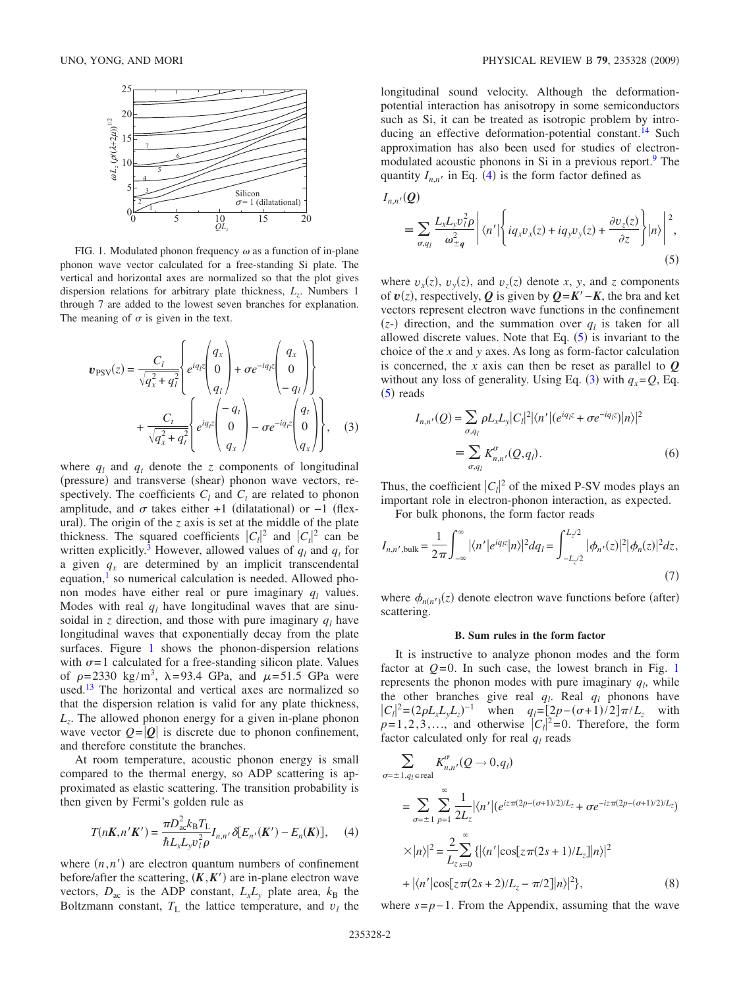<span id="page-1-0"></span>

FIG. 1. Modulated phonon frequency  $\omega$  as a function of in-plane phonon wave vector calculated for a free-standing Si plate. The vertical and horizontal axes are normalized so that the plot gives dispersion relations for arbitrary plate thickness,  $L_z$ . Numbers 1 through 7 are added to the lowest seven branches for explanation. The meaning of  $\sigma$  is given in the text.

<span id="page-1-3"></span>
$$
\boldsymbol{v}_{\text{PSV}}(z) = \frac{C_l}{\sqrt{q_x^2 + q_l^2}} \begin{Bmatrix} q_x \\ e^{iq_l z} \begin{pmatrix} q_x \\ 0 \\ q_l \end{pmatrix} + \sigma e^{-iq_l z} \begin{pmatrix} q_x \\ 0 \\ -q_l \end{pmatrix} \\ + \frac{C_t}{\sqrt{q_x^2 + q_l^2}} \begin{Bmatrix} e^{iq_l z} \begin{pmatrix} -q_t \\ 0 \\ q_x \end{pmatrix} - \sigma e^{-iq_l z} \begin{pmatrix} q_t \\ 0 \\ q_x \end{pmatrix} \end{Bmatrix}, \quad (3)
$$

where  $q_l$  and  $q_t$  denote the *z* components of longitudinal (pressure) and transverse (shear) phonon wave vectors, respectively. The coefficients  $C_l$  and  $C_t$  are related to phonon amplitude, and  $\sigma$  takes either +1 (dilatational) or -1 (flexural). The origin of the  $z$  axis is set at the middle of the plate thickness. The squared coefficients  $|C_l|^2$  and  $|C_t|^2$  can be written explicitly.<sup>3</sup> However, allowed values of  $q_l$  and  $q_t$  for a given  $q_x$  are determined by an implicit transcendental equation, $\frac{1}{1}$  so numerical calculation is needed. Allowed phonon modes have either real or pure imaginary  $q_l$  values. Modes with real  $q_l$  have longitudinal waves that are sinusoidal in *z* direction, and those with pure imaginary  $q_l$  have longitudinal waves that exponentially decay from the plate surfaces. Figure [1](#page-1-0) shows the phonon-dispersion relations with  $\sigma = 1$  calculated for a free-standing silicon plate. Values of  $\rho = 2330 \text{ kg/m}^3$ ,  $\lambda = 93.4 \text{ GPa}$ , and  $\mu = 51.5 \text{ GPa}$  were used.<sup>13</sup> The horizontal and vertical axes are normalized so that the dispersion relation is valid for any plate thickness, *Lz*. The allowed phonon energy for a given in-plane phonon wave vector  $Q = |Q|$  is discrete due to phonon confinement, and therefore constitute the branches.

At room temperature, acoustic phonon energy is small compared to the thermal energy, so ADP scattering is approximated as elastic scattering. The transition probability is then given by Fermi's golden rule as

$$
T(nK, n'K') = \frac{\pi D_{ac}^2 k_B T_L}{\hbar L_x L_y v_l^2 \rho} I_{n,n'} \delta[E_{n'}(K') - E_n(K)], \quad (4)
$$

<span id="page-1-1"></span>where  $(n, n')$  are electron quantum numbers of confinement before/after the scattering,  $(K, K')$  are in-plane electron wave vectors,  $D_{ac}$  is the ADP constant,  $L_xL_y$  plate area,  $k_B$  the Boltzmann constant,  $T_L$  the lattice temperature, and  $v_l$  the longitudinal sound velocity. Although the deformationpotential interaction has anisotropy in some semiconductors such as Si, it can be treated as isotropic problem by introducing an effective deformation-potential constant.<sup>14</sup> Such approximation has also been used for studies of electronmodulated acoustic phonons in Si in a previous report.<sup>9</sup> The quantity  $I_{n,n'}$  in Eq. ([4](#page-1-1)) is the form factor defined as

<span id="page-1-2"></span>
$$
I_{n,n'}(Q)
$$
  
=  $\sum_{\sigma,q_l} \frac{L_x L_y v_l^2 \rho}{\omega_{\pm q}^2} \left| \langle n' | \left\{ i q_x v_x(z) + i q_y v_y(z) + \frac{\partial v_z(z)}{\partial z} \right\} | n \rangle \right|^2,$  (5)

where  $v_x(z)$ ,  $v_y(z)$ , and  $v_z(z)$  denote *x*, *y*, and *z* components of  $v(z)$ , respectively,  $Q$  is given by  $Q = K' - K$ , the bra and ket vectors represent electron wave functions in the confinement  $(z)$  direction, and the summation over  $q_l$  is taken for all allowed discrete values. Note that Eq.  $(5)$  $(5)$  $(5)$  is invariant to the choice of the *x* and *y* axes. As long as form-factor calculation is concerned, the *x* axis can then be reset as parallel to *Q* without any loss of generality. Using Eq. ([3](#page-1-3)) with  $q_x = Q$ , Eq.  $(5)$  $(5)$  $(5)$  reads

$$
I_{n,n'}(Q) = \sum_{\sigma,q_l} \rho L_x L_y |C_l|^2 |\langle n'| (e^{iq_l z} + \sigma e^{-iq_l z}) |n\rangle|^2
$$
  

$$
\equiv \sum_{\sigma,q_l} K_{n,n'}^{\sigma}(Q,q_l).
$$
 (6)

Thus, the coefficient  $|C_l|^2$  of the mixed P-SV modes plays an important role in electron-phonon interaction, as expected.

For bulk phonons, the form factor reads

$$
I_{n,n',\text{bulk}} = \frac{1}{2\pi} \int_{-\infty}^{\infty} |\langle n' | e^{iqx} | n \rangle|^2 dq_l = \int_{-L_z/2}^{L_z/2} |\phi_{n'}(z)|^2 |\phi_n(z)|^2 dz,
$$
\n(7)

where  $\phi_{n(n')}(z)$  denote electron wave functions before (after) scattering.

#### **B. Sum rules in the form factor**

It is instructive to analyze phonon modes and the form factor at  $Q=0$ . In such case, the lowest branch in Fig. [1](#page-1-0) represents the phonon modes with pure imaginary  $q_l$ , while the other branches give real  $q_l$ . Real  $q_l$  phonons have  $|C_l|^2 = (2\rho L_x L_y L_z)^{-1}$  when  $q_l = [2p - (\sigma + 1)/2] \pi / L_z$  with  $p=1, 2, 3, \ldots$ , and otherwise  $|C_l|^2 = 0$ . Therefore, the form factor calculated only for real  $q_l$  reads

<span id="page-1-4"></span>
$$
\sum_{\sigma=\pm 1, q_l \in \text{real}} K_{n,n'}^{\sigma} (Q \to 0, q_l)
$$
\n
$$
= \sum_{\sigma=\pm 1} \sum_{p=1}^{\infty} \frac{1}{2L_z} |\langle n'| (e^{iz\pi(2p - (\sigma + 1)/2)/L_z} + \sigma e^{-iz\pi(2p - (\sigma + 1)/2)/L_z})
$$
\n
$$
\times |n\rangle|^2 = \sum_{L_z} \sum_{s=0}^{\infty} {\{| \langle n'| \cos[z\pi(2s + 1)/L_z]|n \rangle |^2 + |\langle n'| \cos[z\pi(2s + 2)/L_z - \pi/2]|n \rangle |^2 \}},
$$
\n(8)

where  $s = p - 1$ . From the Appendix, assuming that the wave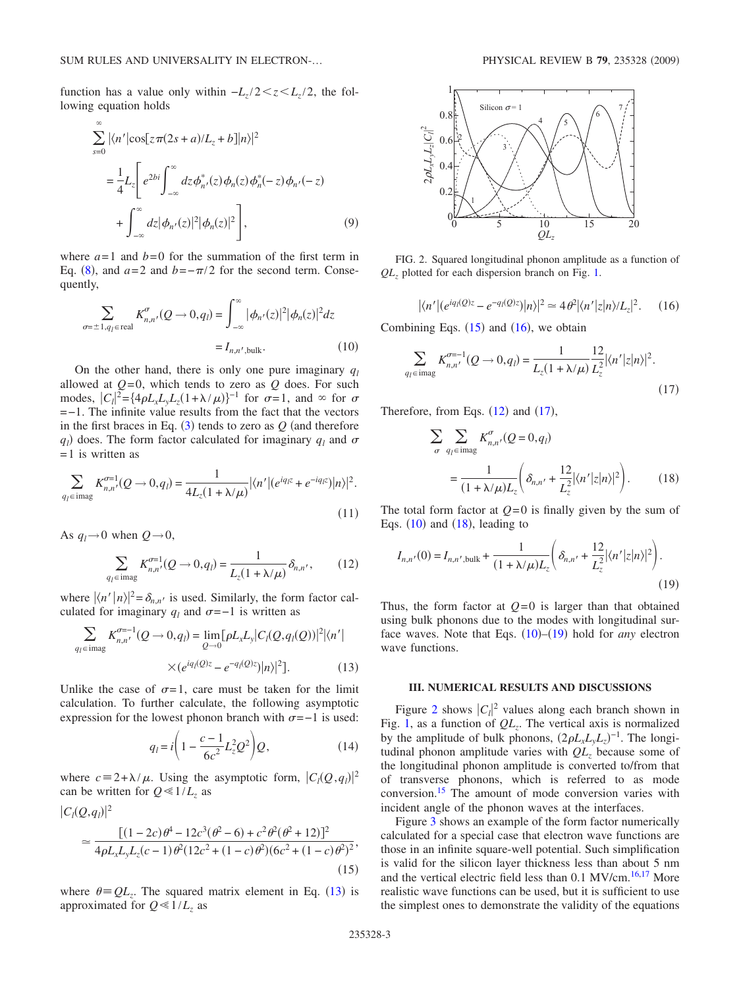function has a value only within  $-L_z/2 \lt z \lt L_z/2$ , the following equation holds

$$
\sum_{s=0}^{\infty} |\langle n'|\cos[z\pi(2s+a)/L_z+b]|n\rangle|^2
$$
  
= 
$$
\frac{1}{4}L_z \left[e^{2bi}\int_{-\infty}^{\infty} dz \phi_n^*(z)\phi_n(z)\phi_n^*(-z)\phi_{n'}(-z)\right]
$$
  
+ 
$$
\int_{-\infty}^{\infty} dz |\phi_{n'}(z)|^2 |\phi_n(z)|^2 , \tag{9}
$$

where  $a=1$  and  $b=0$  for the summation of the first term in Eq. ([8](#page-1-4)), and  $a=2$  and  $b=-\pi/2$  for the second term. Consequently,

<span id="page-2-6"></span>
$$
\sum_{\sigma=\pm 1, q_l \in \text{real}} K_{n,n'}^{\sigma}(Q \to 0, q_l) = \int_{-\infty}^{\infty} |\phi_{n'}(z)|^2 |\phi_n(z)|^2 dz
$$

$$
= I_{n,n',\text{bulk}}.
$$
(10)

On the other hand, there is only one pure imaginary  $q_l$ allowed at  $Q=0$ , which tends to zero as  $Q$  does. For such modes,  $|C_l|^2 = \left\{ 4\rho L_x L_y L_z (1 + \lambda/\mu) \right\}^{-1}$  for  $\sigma = 1$ , and  $\infty$  for  $\sigma$ =−1. The infinite value results from the fact that the vectors in the first braces in Eq.  $(3)$  $(3)$  $(3)$  tends to zero as  $Q$  (and therefore  $q_l$ ) does. The form factor calculated for imaginary  $q_l$  and  $\sigma$  $= 1$  is written as

$$
\sum_{q_l \in \text{imag}} K_{n,n'}^{\sigma=1}(Q \to 0, q_l) = \frac{1}{4L_z(1 + \lambda/\mu)} |\langle n'| (e^{iq_l z} + e^{-iq_l z}) |n \rangle|^2.
$$
\n(11)

As  $q_l \rightarrow 0$  when  $Q \rightarrow 0$ ,

$$
\sum_{q_l \in \text{imag}} K_{n,n'}^{\sigma=1}(Q \to 0, q_l) = \frac{1}{L_z(1 + \lambda/\mu)} \delta_{n,n'},
$$
 (12)

<span id="page-2-4"></span>where  $\langle n' | n \rangle^2 = \delta_{n,n'}$  is used. Similarly, the form factor calculated for imaginary  $q_l$  and  $\sigma$ =−1 is written as

<span id="page-2-1"></span>
$$
\sum_{q_l \in \text{imag}} K_{n,n'}^{\sigma-1}(Q \to 0, q_l) = \lim_{Q \to 0} [\rho L_x L_y | C_l(Q, q_l(Q))|^2 |\langle n' |
$$
  
 
$$
\times (e^{iq_l(Q)z} - e^{-q_l(Q)z}) |n\rangle|^2].
$$
 (13)

Unlike the case of  $\sigma = 1$ , care must be taken for the limit calculation. To further calculate, the following asymptotic expression for the lowest phonon branch with  $\sigma$ =−1 is used:

$$
q_{l} = i \left( 1 - \frac{c - 1}{6c^2} L_z^2 Q^2 \right) Q, \tag{14}
$$

where  $c = 2 + \lambda / \mu$ . Using the asymptotic form,  $|C_l(Q, q_l)|^2$ can be written for  $Q \ll 1/L_z$  as

<span id="page-2-2"></span>
$$
|C_l(Q,q_l)|^2
$$
  
\n
$$
\approx \frac{[(1-2c)\theta^4 - 12c^3(\theta^2 - 6) + c^2\theta^2(\theta^2 + 12)]^2}{4\rho L_x L_y L_z(c-1)\theta^2(12c^2 + (1-c)\theta^2)(6c^2 + (1-c)\theta^2)^2},
$$
\n(15)

where  $\theta = QL_z$ . The squared matrix element in Eq. ([13](#page-2-1)) is approximated for  $Q \ll 1/L_z$  as

<span id="page-2-9"></span>

FIG. 2. Squared longitudinal phonon amplitude as a function of *QLz* plotted for each dispersion branch on Fig. [1.](#page-1-0)

$$
|\langle n'| (e^{iq_l(Q)z} - e^{-q_l(Q)z}) |n\rangle|^2 \simeq 4\theta^2 |\langle n'|z |n\rangle / L_z|^2. \qquad (16)
$$

<span id="page-2-3"></span>Combining Eqs.  $(15)$  $(15)$  $(15)$  and  $(16)$  $(16)$  $(16)$ , we obtain

<span id="page-2-5"></span>
$$
\sum_{q_l \in \text{imag}} K_{n,n'}^{\sigma=1}(Q \to 0, q_l) = \frac{1}{L_z(1 + \lambda/\mu)} \frac{12}{L_z^2} |\langle n' | z | n \rangle|^2.
$$
\n(17)

<span id="page-2-7"></span>Therefore, from Eqs.  $(12)$  $(12)$  $(12)$  and  $(17)$  $(17)$  $(17)$ ,

$$
\sum_{\sigma} \sum_{q_l \in \text{imag}} K_{n,n'}^{\sigma} (Q = 0, q_l)
$$

$$
= \frac{1}{(1 + \lambda/\mu)L_z} \left( \delta_{n,n'} + \frac{12}{L_z^2} |\langle n'|z|n \rangle|^2 \right). \tag{18}
$$

The total form factor at  $Q=0$  is finally given by the sum of Eqs.  $(10)$  $(10)$  $(10)$  and  $(18)$  $(18)$  $(18)$ , leading to

<span id="page-2-8"></span>
$$
I_{n,n'}(0) = I_{n,n',\text{bulk}} + \frac{1}{(1 + \lambda/\mu)L_z} \left( \delta_{n,n'} + \frac{12}{L_z^2} |\langle n'|z|n \rangle|^2 \right).
$$
\n(19)

Thus, the form factor at  $Q=0$  is larger than that obtained using bulk phonons due to the modes with longitudinal surface waves. Note that Eqs.  $(10)$  $(10)$  $(10)$ – $(19)$  $(19)$  $(19)$  hold for *any* electron wave functions.

## **III. NUMERICAL RESULTS AND DISCUSSIONS**

<span id="page-2-0"></span>Figure [2](#page-2-9) shows  $|C_l|^2$  values along each branch shown in Fig. [1,](#page-1-0) as a function of  $QL_z$ . The vertical axis is normalized by the amplitude of bulk phonons,  $(2\rho L_x L_y L_z)^{-1}$ . The longitudinal phonon amplitude varies with  $QL$ <sub>z</sub> because some of the longitudinal phonon amplitude is converted to/from that of transverse phonons, which is referred to as mode conversion[.15](#page-6-10) The amount of mode conversion varies with incident angle of the phonon waves at the interfaces.

Figure [3](#page-3-0) shows an example of the form factor numerically calculated for a special case that electron wave functions are those in an infinite square-well potential. Such simplification is valid for the silicon layer thickness less than about 5 nm and the vertical electric field less than 0.1 MV/cm.<sup>16,[17](#page-6-12)</sup> More realistic wave functions can be used, but it is sufficient to use the simplest ones to demonstrate the validity of the equations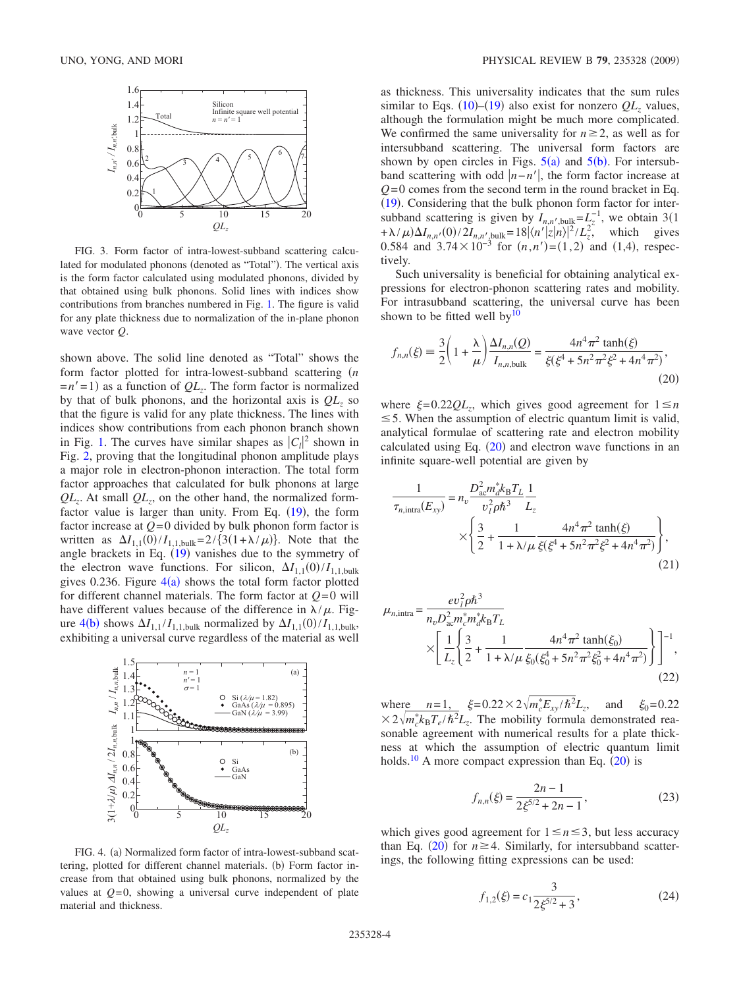<span id="page-3-0"></span>

FIG. 3. Form factor of intra-lowest-subband scattering calculated for modulated phonons (denoted as "Total"). The vertical axis is the form factor calculated using modulated phonons, divided by that obtained using bulk phonons. Solid lines with indices show contributions from branches numbered in Fig. [1.](#page-1-0) The figure is valid for any plate thickness due to normalization of the in-plane phonon wave vector *Q*.

shown above. The solid line denoted as "Total" shows the form factor plotted for intra-lowest-subband scattering  $(n)$  $=n'$  = 1) as a function of  $QL_z$ . The form factor is normalized by that of bulk phonons, and the horizontal axis is  $QL_7$  so that the figure is valid for any plate thickness. The lines with indices show contributions from each phonon branch shown in Fig. [1.](#page-1-0) The curves have similar shapes as  $|C_l|^2$  shown in Fig. [2,](#page-2-9) proving that the longitudinal phonon amplitude plays a major role in electron-phonon interaction. The total form factor approaches that calculated for bulk phonons at large  $QL_z$ . At small  $QL_z$ , on the other hand, the normalized formfactor value is larger than unity. From Eq.  $(19)$  $(19)$  $(19)$ , the form factor increase at  $Q=0$  divided by bulk phonon form factor is written as  $\Delta I_{1,1}(0)/I_{1,1,\text{bulk}} = 2/\{3(1+\lambda/\mu)\}\.$  Note that the angle brackets in Eq.  $(19)$  $(19)$  $(19)$  vanishes due to the symmetry of the electron wave functions. For silicon,  $\Delta I_{1,1}(0)/I_{1,1,\text{bulk}}$ gives 0.236. Figure  $4(a)$  $4(a)$  shows the total form factor plotted for different channel materials. The form factor at  $Q=0$  will have different values because of the difference in  $\lambda/\mu$ . Fig-ure [4](#page-3-1)(b) shows  $\Delta I_{1,1} / I_{1,1,\text{bulk}}$  normalized by  $\Delta I_{1,1}(0) / I_{1,1,\text{bulk}}$ , exhibiting a universal curve regardless of the material as well

<span id="page-3-1"></span>

FIG. 4. (a) Normalized form factor of intra-lowest-subband scattering, plotted for different channel materials. (b) Form factor increase from that obtained using bulk phonons, normalized by the values at  $Q=0$ , showing a universal curve independent of plate material and thickness.

as thickness. This universality indicates that the sum rules similar to Eqs.  $(10)$  $(10)$  $(10)$ – $(19)$  $(19)$  $(19)$  also exist for nonzero  $QL_z$  values, although the formulation might be much more complicated. We confirmed the same universality for  $n \geq 2$ , as well as for intersubband scattering. The universal form factors are shown by open circles in Figs.  $5(a)$  $5(a)$  and  $5(b)$ . For intersubband scattering with odd  $|n-n'|$ , the form factor increase at  $Q=0$  comes from the second term in the round bracket in Eq. ([19](#page-2-8)). Considering that the bulk phonon form factor for intersubband scattering is given by  $I_{n,n'}$ , bulk= $L_z^{-1}$ , we obtain 3(1)  $+\lambda/\mu$ ) $\Delta I_{n,n'}(0)/2I_{n,n'}$ , bulk= $18\langle n'|z|n\rangle|^2/L_z^2$ , which gives 0.584 and  $3.74 \times 10^{-3}$  for  $(n, n') = (1, 2)$  and  $(1, 4)$ , respectively.

Such universality is beneficial for obtaining analytical expressions for electron-phonon scattering rates and mobility. For intrasubband scattering, the universal curve has been shown to be fitted well by $10$ 

<span id="page-3-2"></span>
$$
f_{n,n}(\xi) \equiv \frac{3}{2} \left( 1 + \frac{\lambda}{\mu} \right) \frac{\Delta I_{n,n}(Q)}{I_{n,n,\text{bulk}}} = \frac{4n^4 \pi^2 \tanh(\xi)}{\xi(\xi^4 + 5n^2 \pi^2 \xi^2 + 4n^4 \pi^2)},\tag{20}
$$

where  $\xi = 0.22QL_z$ , which gives good agreement for  $1 \leq n$  $\leq$  5. When the assumption of electric quantum limit is valid, analytical formulae of scattering rate and electron mobility calculated using Eq.  $(20)$  $(20)$  $(20)$  and electron wave functions in an infinite square-well potential are given by

$$
\frac{1}{\tau_{n,\text{intra}}(E_{xy})} = n_v \frac{D_{ac}^2 m_d^* k_B T_L}{v_f^2 \rho \hbar^3} \frac{1}{L_z} \times \left\{ \frac{3}{2} + \frac{1}{1 + \lambda/\mu} \frac{4n^4 \pi^2 \tanh(\xi)}{\xi(\xi^4 + 5n^2 \pi^2 \xi^2 + 4n^4 \pi^2)} \right\},\tag{21}
$$

$$
\mu_{n,\text{intra}} = \frac{ev_I^2 \rho \hbar^3}{n_v D_{ac}^2 m_c^* m_d^* k_B T_L} \times \left[ \frac{1}{L_z} \left\{ \frac{3}{2} + \frac{1}{1 + \lambda/\mu} \frac{4n^4 \pi^2 \tanh(\xi_0)}{\xi_0 (\xi_0^4 + 5n^2 \pi^2 \xi_0^2 + 4n^4 \pi^2)} \right\} \right]^{-1},
$$
\n(22)

where  $n=1$ ,  $\xi = 0.22 \times 2 \sqrt{m_c^* E_{xy} / \hbar^2} L_z$ , and  $\xi_0 = 0.22$  $\times$  2 $\sqrt{m_c^* k_B T_e / \hbar^2} L_z$ . The mobility formula demonstrated reasonable agreement with numerical results for a plate thickness at which the assumption of electric quantum limit holds.<sup>10</sup> A more compact expression than Eq.  $(20)$  $(20)$  $(20)$  is

$$
f_{n,n}(\xi) = \frac{2n-1}{2\xi^{5/2} + 2n - 1},
$$
\n(23)

<span id="page-3-3"></span>which gives good agreement for  $1 \le n \le 3$ , but less accuracy than Eq. ([20](#page-3-2)) for  $n \geq 4$ . Similarly, for intersubband scatterings, the following fitting expressions can be used:

$$
f_{1,2}(\xi) = c_1 \frac{3}{2\xi^{5/2} + 3},\tag{24}
$$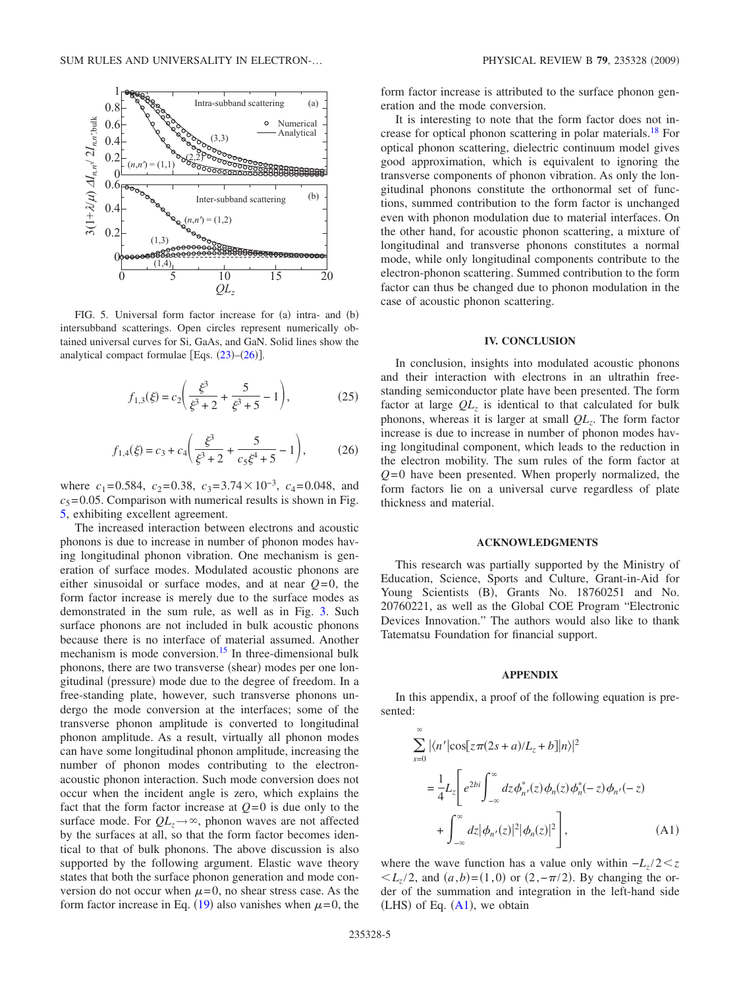<span id="page-4-1"></span>

FIG. 5. Universal form factor increase for (a) intra- and (b) intersubband scatterings. Open circles represent numerically obtained universal curves for Si, GaAs, and GaN. Solid lines show the analytical compact formulae [Eqs.  $(23)$  $(23)$  $(23)$ – $(26)$  $(26)$  $(26)$ ].

$$
f_{1,3}(\xi) = c_2 \left( \frac{\xi^3}{\xi^3 + 2} + \frac{5}{\xi^3 + 5} - 1 \right),\tag{25}
$$

$$
f_{1,4}(\xi) = c_3 + c_4 \left(\frac{\xi^3}{\xi^3 + 2} + \frac{5}{c_5 \xi^4 + 5} - 1\right),\tag{26}
$$

<span id="page-4-3"></span>where  $c_1 = 0.584$ ,  $c_2 = 0.38$ ,  $c_3 = 3.74 \times 10^{-3}$ ,  $c_4 = 0.048$ , and  $c_5$ = 0.05. Comparison with numerical results is shown in Fig. [5,](#page-4-1) exhibiting excellent agreement.

The increased interaction between electrons and acoustic phonons is due to increase in number of phonon modes having longitudinal phonon vibration. One mechanism is generation of surface modes. Modulated acoustic phonons are either sinusoidal or surface modes, and at near  $Q=0$ , the form factor increase is merely due to the surface modes as demonstrated in the sum rule, as well as in Fig. [3.](#page-3-0) Such surface phonons are not included in bulk acoustic phonons because there is no interface of material assumed. Another mechanism is mode conversion.<sup>15</sup> In three-dimensional bulk phonons, there are two transverse (shear) modes per one longitudinal (pressure) mode due to the degree of freedom. In a free-standing plate, however, such transverse phonons undergo the mode conversion at the interfaces; some of the transverse phonon amplitude is converted to longitudinal phonon amplitude. As a result, virtually all phonon modes can have some longitudinal phonon amplitude, increasing the number of phonon modes contributing to the electronacoustic phonon interaction. Such mode conversion does not occur when the incident angle is zero, which explains the fact that the form factor increase at  $Q=0$  is due only to the surface mode. For  $QL_z \rightarrow \infty$ , phonon waves are not affected by the surfaces at all, so that the form factor becomes identical to that of bulk phonons. The above discussion is also supported by the following argument. Elastic wave theory states that both the surface phonon generation and mode conversion do not occur when  $\mu = 0$ , no shear stress case. As the form factor increase in Eq. ([19](#page-2-8)) also vanishes when  $\mu$ =0, the

form factor increase is attributed to the surface phonon generation and the mode conversion.

It is interesting to note that the form factor does not increase for optical phonon scattering in polar materials.<sup>18</sup> For optical phonon scattering, dielectric continuum model gives good approximation, which is equivalent to ignoring the transverse components of phonon vibration. As only the longitudinal phonons constitute the orthonormal set of functions, summed contribution to the form factor is unchanged even with phonon modulation due to material interfaces. On the other hand, for acoustic phonon scattering, a mixture of longitudinal and transverse phonons constitutes a normal mode, while only longitudinal components contribute to the electron-phonon scattering. Summed contribution to the form factor can thus be changed due to phonon modulation in the case of acoustic phonon scattering.

## **IV. CONCLUSION**

<span id="page-4-0"></span>In conclusion, insights into modulated acoustic phonons and their interaction with electrons in an ultrathin freestanding semiconductor plate have been presented. The form factor at large  $QL_z$  is identical to that calculated for bulk phonons, whereas it is larger at small *QLz*. The form factor increase is due to increase in number of phonon modes having longitudinal component, which leads to the reduction in the electron mobility. The sum rules of the form factor at  $Q=0$  have been presented. When properly normalized, the form factors lie on a universal curve regardless of plate thickness and material.

#### **ACKNOWLEDGMENTS**

This research was partially supported by the Ministry of Education, Science, Sports and Culture, Grant-in-Aid for Young Scientists (B), Grants No. 18760251 and No. 20760221, as well as the Global COE Program "Electronic Devices Innovation." The authors would also like to thank Tatematsu Foundation for financial support.

#### **APPENDIX**

In this appendix, a proof of the following equation is presented:

<span id="page-4-2"></span>
$$
\sum_{s=0}^{\infty} |\langle n'|\cos[z\pi(2s+a)/L_z+b]|n\rangle|^2
$$
  
\n
$$
= \frac{1}{4} L_z \left[ e^{2bi} \int_{-\infty}^{\infty} dz \phi_n^*(z) \phi_n(z) \phi_n^*(-z) \phi_n(-z) + \int_{-\infty}^{\infty} dz |\phi_n(z)|^2 |\phi_n(z)|^2 \right],
$$
 (A1)

where the wave function has a value only within  $-L_z/2 < z$  $\langle L_z/2, \text{ and } (a, b) = (1, 0) \text{ or } (2, -\pi/2).$  By changing the order of the summation and integration in the left-hand side  $(LHS)$  of Eq.  $(A1)$  $(A1)$  $(A1)$ , we obtain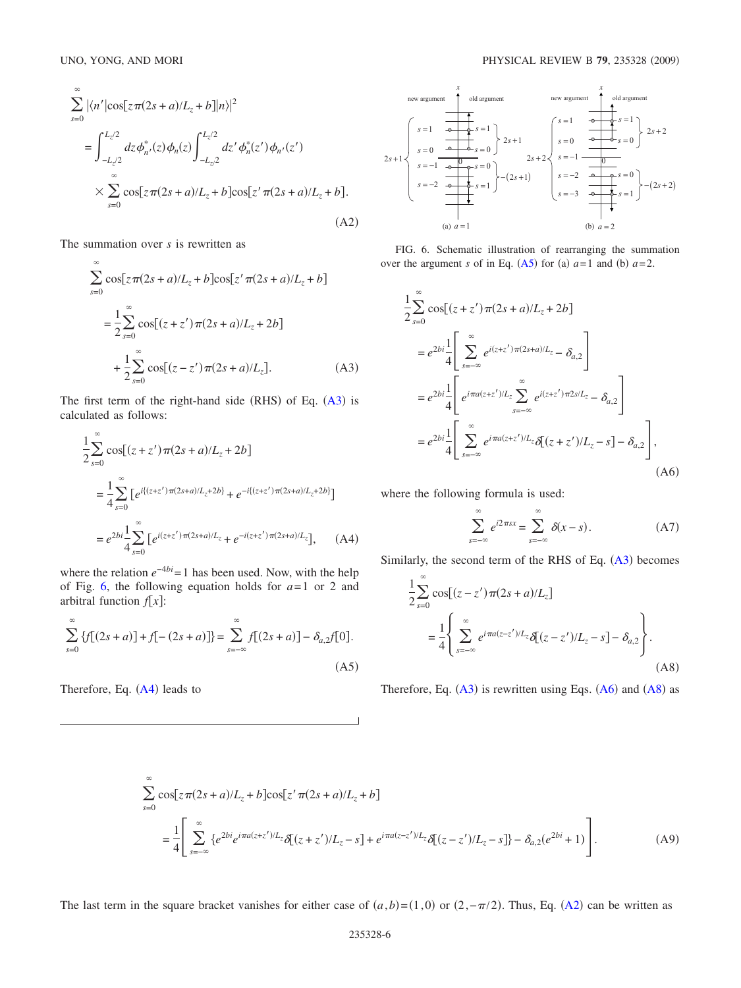<span id="page-5-5"></span>
$$
\sum_{s=0}^{\infty} |\langle n'|\cos[z\pi(2s+a)/L_z+b]|n\rangle|^2
$$
\n
$$
= \int_{-L_z/2}^{L_z/2} dz \phi_{n'}^*(z) \phi_n(z) \int_{-L_z/2}^{L_z/2} dz' \phi_n^*(z') \phi_{n'}(z')
$$
\n
$$
\times \sum_{s=0}^{\infty} \cos[z\pi(2s+a)/L_z+b] \cos[z'\pi(2s+a)/L_z+b].
$$
\n(A2)

The summation over *s* is rewritten as

<span id="page-5-0"></span>
$$
\sum_{s=0}^{\infty} \cos[z\pi(2s+a)/L_z + b]\cos[z'\pi(2s+a)/L_z + b]
$$
  
=  $\frac{1}{2}\sum_{s=0}^{\infty} \cos[(z+z')\pi(2s+a)/L_z + 2b]$   
+  $\frac{1}{2}\sum_{s=0}^{\infty} \cos[(z-z')\pi(2s+a)/L_z].$  (A3)

The first term of the right-hand side  $(RHS)$  of Eq.  $(A3)$  $(A3)$  $(A3)$  is calculated as follows:

<span id="page-5-2"></span>
$$
\frac{1}{2} \sum_{s=0}^{\infty} \cos[(z+z')\pi(2s+a)/L_z + 2b]
$$
\n
$$
= \frac{1}{4} \sum_{s=0}^{\infty} \left[ e^{i\{(z+z')\pi(2s+a)/L_z + 2b\}} + e^{-i\{(z+z')\pi(2s+a)/L_z + 2b\}} \right]
$$
\n
$$
= e^{2bi} \frac{1}{4} \sum_{s=0}^{\infty} \left[ e^{i(z+z')\pi(2s+a)/L_z} + e^{-i(z+z')\pi(2s+a)/L_z} \right], \quad (A4)
$$

where the relation  $e^{-4bi}$  = 1 has been used. Now, with the help of Fig. [6,](#page-5-1) the following equation holds for  $a=1$  or 2 and arbitral function *f x*:

<span id="page-5-6"></span>
$$
\sum_{s=0}^{\infty} \{f[(2s+a)] + f[-(2s+a)]\} = \sum_{s=-\infty}^{\infty} f[(2s+a)] - \delta_{a,2}f[0].
$$
\n(A5)

Therefore, Eq.  $(A4)$  $(A4)$  $(A4)$  leads to

 $\infty$ 

<span id="page-5-1"></span>

FIG. 6. Schematic illustration of rearranging the summation over the argument *s* of in Eq. ([A5](#page-5-6)) for (a)  $a=1$  and (b)  $a=2$ .

<span id="page-5-3"></span>
$$
\frac{1}{2} \sum_{s=0}^{\infty} \cos[(z+z')\pi(2s+a)/L_z+2b]
$$
\n
$$
= e^{2bi} \frac{1}{4} \left[ \sum_{s=-\infty}^{\infty} e^{i(z+z')\pi(2s+a)/L_z} - \delta_{a,2} \right]
$$
\n
$$
= e^{2bi} \frac{1}{4} \left[ e^{i\pi a(z+z')/L_z} \sum_{s=-\infty}^{\infty} e^{i(z+z')\pi 2s/L_z} - \delta_{a,2} \right]
$$
\n
$$
= e^{2bi} \frac{1}{4} \left[ \sum_{s=-\infty}^{\infty} e^{i\pi a(z+z')/L_z} \delta[(z+z')/L_z - s] - \delta_{a,2} \right],
$$
\n(A6)

where the following formula is used:

$$
\sum_{s=-\infty}^{\infty} e^{i2\pi sx} = \sum_{s=-\infty}^{\infty} \delta(x - s).
$$
 (A7)

Similarly, the second term of the RHS of Eq.  $(A3)$  $(A3)$  $(A3)$  becomes

<span id="page-5-4"></span>
$$
\frac{1}{2} \sum_{s=0}^{\infty} \cos[(z-z')\pi(2s+a)/L_z]
$$

$$
= \frac{1}{4} \left\{ \sum_{s=-\infty}^{\infty} e^{i\pi a(z-z')/L_z} \delta[(z-z')/L_z - s] - \delta_{a,2} \right\}.
$$
(A8)

Therefore, Eq.  $(A3)$  $(A3)$  $(A3)$  is rewritten using Eqs.  $(A6)$  $(A6)$  $(A6)$  and  $(A8)$  $(A8)$  $(A8)$  as

$$
\sum_{s=0} \cos[z\pi(2s+a)/L_z + b]\cos[z'\pi(2s+a)/L_z + b]
$$
\n
$$
= \frac{1}{4} \left[ \sum_{s=-\infty}^{\infty} \{e^{2bi}e^{i\pi a(z+z')/L_z}\delta[(z+z')/L_z - s] + e^{i\pi a(z-z')/L_z}\delta[(z-z')/L_z - s] \} - \delta_{a,2}(e^{2bi} + 1) \right].
$$
\n(A9)

The last term in the square bracket vanishes for either case of  $(a,b)=(1,0)$  or  $(2,-\pi/2)$ . Thus, Eq. ([A2](#page-5-5)) can be written as